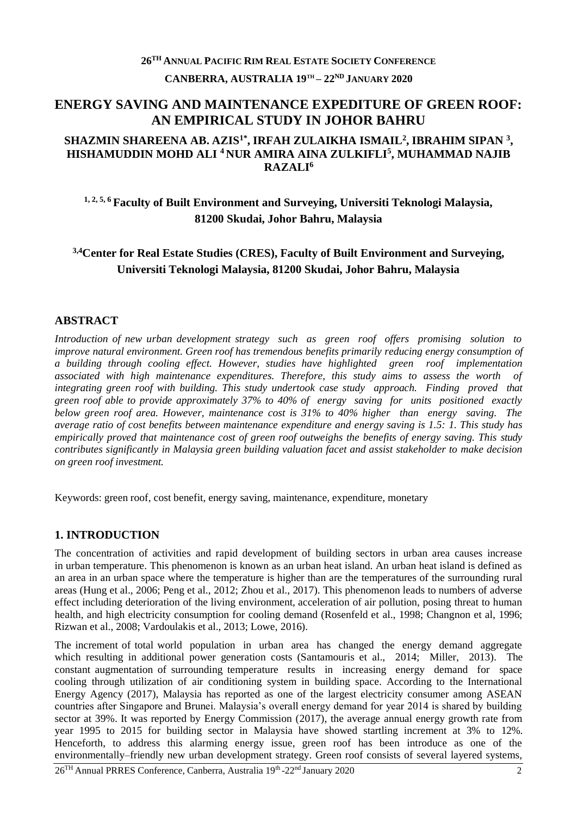# **26TH ANNUAL PACIFIC RIM REAL ESTATE SOCIETY CONFERENCE CANBERRA, AUSTRALIA 19TH – 22ND JANUARY 2020**

## **ENERGY SAVING AND MAINTENANCE EXPEDITURE OF GREEN ROOF: AN EMPIRICAL STUDY IN JOHOR BAHRU**

### **SHAZMIN SHAREENA AB. AZIS1\*, IRFAH ZULAIKHA ISMAIL<sup>2</sup> , IBRAHIM SIPAN <sup>3</sup> , HISHAMUDDIN MOHD ALI <sup>4</sup>NUR AMIRA AINA ZULKIFLI<sup>5</sup> , MUHAMMAD NAJIB RAZALI<sup>6</sup>**

# **1, 2, 5, 6 Faculty of Built Environment and Surveying, Universiti Teknologi Malaysia, 81200 Skudai, Johor Bahru, Malaysia**

## **3,4Center for Real Estate Studies (CRES), Faculty of Built Environment and Surveying, Universiti Teknologi Malaysia, 81200 Skudai, Johor Bahru, Malaysia**

## **ABSTRACT**

*Introduction of new urban development strategy such as green roof offers promising solution to improve natural environment. Green roof has tremendous benefits primarily reducing energy consumption of a building through cooling effect. However, studies have highlighted green roof implementation associated with high maintenance expenditures. Therefore, this study aims to assess the worth of integrating green roof with building. This study undertook case study approach. Finding proved that green roof able to provide approximately 37% to 40% of energy saving for units positioned exactly below green roof area. However, maintenance cost is 31% to 40% higher than energy saving. The average ratio of cost benefits between maintenance expenditure and energy saving is 1.5: 1. This study has empirically proved that maintenance cost of green roof outweighs the benefits of energy saving. This study contributes significantly in Malaysia green building valuation facet and assist stakeholder to make decision on green roof investment.*

Keywords: green roof, cost benefit, energy saving, maintenance, expenditure, monetary

## **1. INTRODUCTION**

The concentration of activities and rapid development of building sectors in urban area causes increase in urban temperature. This phenomenon is known as an urban heat island. An urban heat island is defined as an area in an urban space where the temperature is higher than are the temperatures of the surrounding rural areas (Hung et al., 2006; Peng et al., 2012; Zhou et al., 2017). This phenomenon leads to numbers of adverse effect including deterioration of the living environment, acceleration of air pollution, posing threat to human health, and high electricity consumption for cooling demand (Rosenfeld et al., 1998; Changnon et al, 1996; Rizwan et al., 2008; Vardoulakis et al., 2013; Lowe, 2016).

The increment of total world population in urban area has changed the energy demand aggregate which resulting in additional power generation costs (Santamouris et al., 2014; Miller, 2013). The constant augmentation of surrounding temperature results in increasing energy demand for space cooling through utilization of air conditioning system in building space. According to the International Energy Agency (2017), Malaysia has reported as one of the largest electricity consumer among ASEAN countries after Singapore and Brunei. Malaysia's overall energy demand for year 2014 is shared by building sector at 39%. It was reported by Energy Commission (2017), the average annual energy growth rate from year 1995 to 2015 for building sector in Malaysia have showed startling increment at 3% to 12%. Henceforth, to address this alarming energy issue, green roof has been introduce as one of the environmentally–friendly new urban development strategy. Green roof consists of several layered systems,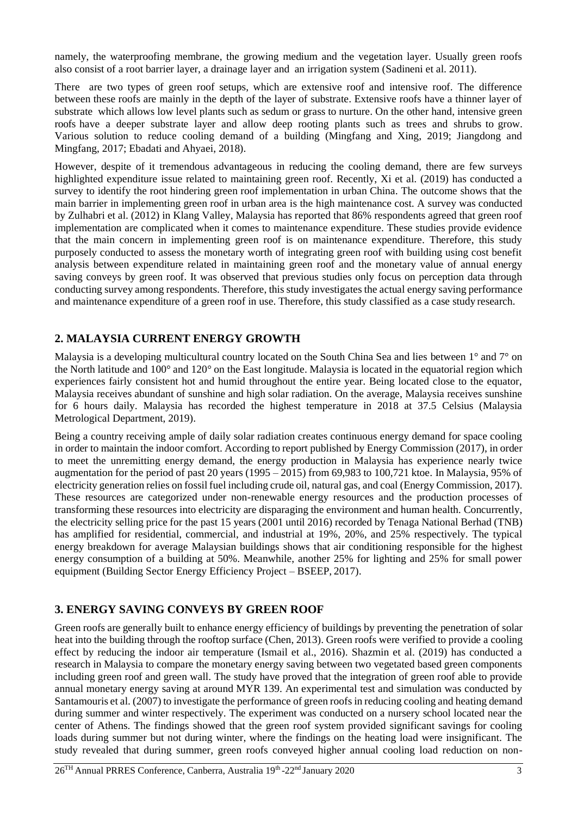namely, the waterproofing membrane, the growing medium and the vegetation layer. Usually green roofs also consist of a root barrier layer, a drainage layer and an irrigation system (Sadineni et al. 2011).

There are two types of green roof setups, which are extensive roof and intensive roof. The difference between these roofs are mainly in the depth of the layer of substrate. Extensive roofs have a thinner layer of substrate which allows low level plants such as sedum or grass to nurture. On the other hand, intensive green roofs have a deeper substrate layer and allow deep rooting plants such as trees and shrubs to grow. Various solution to reduce cooling demand of a building (Mingfang and Xing, 2019; Jiangdong and Mingfang, 2017; Ebadati and Ahyaei, 2018).

However, despite of it tremendous advantageous in reducing the cooling demand, there are few surveys highlighted expenditure issue related to maintaining green roof. Recently, Xi et al. (2019) has conducted a survey to identify the root hindering green roof implementation in urban China. The outcome shows that the main barrier in implementing green roof in urban area is the high maintenance cost. A survey was conducted by Zulhabri et al. (2012) in Klang Valley, Malaysia has reported that 86% respondents agreed that green roof implementation are complicated when it comes to maintenance expenditure. These studies provide evidence that the main concern in implementing green roof is on maintenance expenditure. Therefore, this study purposely conducted to assess the monetary worth of integrating green roof with building using cost benefit analysis between expenditure related in maintaining green roof and the monetary value of annual energy saving conveys by green roof. It was observed that previous studies only focus on perception data through conducting survey among respondents. Therefore, this study investigates the actual energy saving performance and maintenance expenditure of a green roof in use. Therefore, this study classified as a case study research.

## **2. MALAYSIA CURRENT ENERGY GROWTH**

Malaysia is a developing multicultural country located on the South China Sea and lies between 1° and 7° on the North latitude and 100° and 120° on the East longitude. Malaysia is located in the equatorial region which experiences fairly consistent hot and humid throughout the entire year. Being located close to the equator, Malaysia receives abundant of sunshine and high solar radiation. On the average, Malaysia receives sunshine for 6 hours daily. Malaysia has recorded the highest temperature in 2018 at 37.5 Celsius (Malaysia Metrological Department, 2019).

Being a country receiving ample of daily solar radiation creates continuous energy demand for space cooling in order to maintain the indoor comfort. According to report published by Energy Commission (2017), in order to meet the unremitting energy demand, the energy production in Malaysia has experience nearly twice augmentation for the period of past 20 years (1995 – 2015) from 69,983 to 100,721 ktoe. In Malaysia, 95% of electricity generation relies on fossil fuel including crude oil, natural gas, and coal (Energy Commission, 2017). These resources are categorized under non-renewable energy resources and the production processes of transforming these resources into electricity are disparaging the environment and human health. Concurrently, the electricity selling price for the past 15 years (2001 until 2016) recorded by Tenaga National Berhad (TNB) has amplified for residential, commercial, and industrial at 19%, 20%, and 25% respectively. The typical energy breakdown for average Malaysian buildings shows that air conditioning responsible for the highest energy consumption of a building at 50%. Meanwhile, another 25% for lighting and 25% for small power equipment (Building Sector Energy Efficiency Project – BSEEP, 2017).

## **3. ENERGY SAVING CONVEYS BY GREEN ROOF**

Green roofs are generally built to enhance energy efficiency of buildings by preventing the penetration of solar heat into the building through the rooftop surface (Chen, 2013). Green roofs were verified to provide a cooling effect by reducing the indoor air temperature (Ismail et al., 2016). Shazmin et al. (2019) has conducted a research in Malaysia to compare the monetary energy saving between two vegetated based green components including green roof and green wall. The study have proved that the integration of green roof able to provide annual monetary energy saving at around MYR 139. An experimental test and simulation was conducted by Santamouris et al. (2007) to investigate the performance of green roofs in reducing cooling and heating demand during summer and winter respectively. The experiment was conducted on a nursery school located near the center of Athens. The findings showed that the green roof system provided significant savings for cooling loads during summer but not during winter, where the findings on the heating load were insignificant. The study revealed that during summer, green roofs conveyed higher annual cooling load reduction on non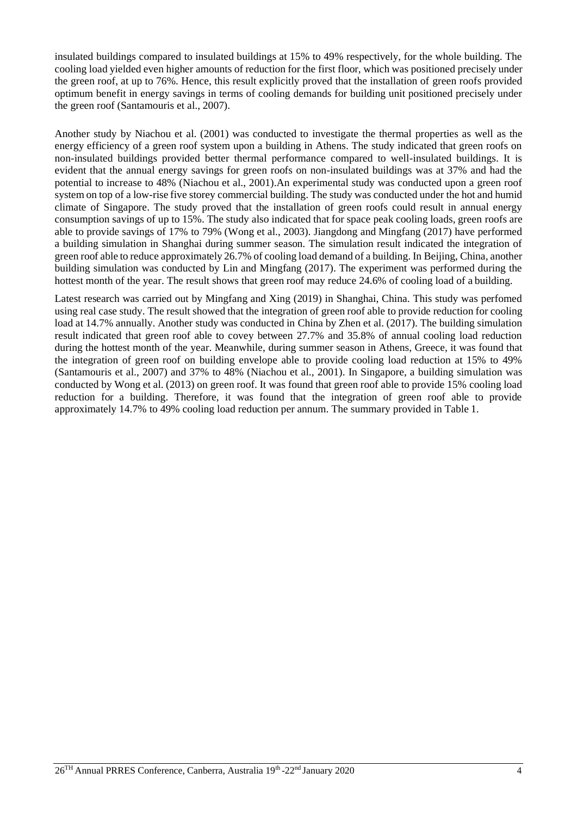insulated buildings compared to insulated buildings at 15% to 49% respectively, for the whole building. The cooling load yielded even higher amounts of reduction for the first floor, which was positioned precisely under the green roof, at up to 76%. Hence, this result explicitly proved that the installation of green roofs provided optimum benefit in energy savings in terms of cooling demands for building unit positioned precisely under the green roof (Santamouris et al., 2007).

Another study by Niachou et al. (2001) was conducted to investigate the thermal properties as well as the energy efficiency of a green roof system upon a building in Athens. The study indicated that green roofs on non-insulated buildings provided better thermal performance compared to well-insulated buildings. It is evident that the annual energy savings for green roofs on non-insulated buildings was at 37% and had the potential to increase to 48% (Niachou et al., 2001).An experimental study was conducted upon a green roof system on top of a low-rise five storey commercial building. The study was conducted under the hot and humid climate of Singapore. The study proved that the installation of green roofs could result in annual energy consumption savings of up to 15%. The study also indicated that for space peak cooling loads, green roofs are able to provide savings of 17% to 79% (Wong et al., 2003). Jiangdong and Mingfang (2017) have performed a building simulation in Shanghai during summer season. The simulation result indicated the integration of green roof able to reduce approximately 26.7% of cooling load demand of a building. In Beijing, China, another building simulation was conducted by Lin and Mingfang (2017). The experiment was performed during the hottest month of the year. The result shows that green roof may reduce 24.6% of cooling load of a building.

Latest research was carried out by Mingfang and Xing (2019) in Shanghai, China. This study was perfomed using real case study. The result showed that the integration of green roof able to provide reduction for cooling load at 14.7% annually. Another study was conducted in China by Zhen et al. (2017). The building simulation result indicated that green roof able to covey between 27.7% and 35.8% of annual cooling load reduction during the hottest month of the year. Meanwhile, during summer season in Athens, Greece, it was found that the integration of green roof on building envelope able to provide cooling load reduction at 15% to 49% (Santamouris et al., 2007) and 37% to 48% (Niachou et al., 2001). In Singapore, a building simulation was conducted by Wong et al. (2013) on green roof. It was found that green roof able to provide 15% cooling load reduction for a building. Therefore, it was found that the integration of green roof able to provide approximately 14.7% to 49% cooling load reduction per annum. The summary provided in Table 1.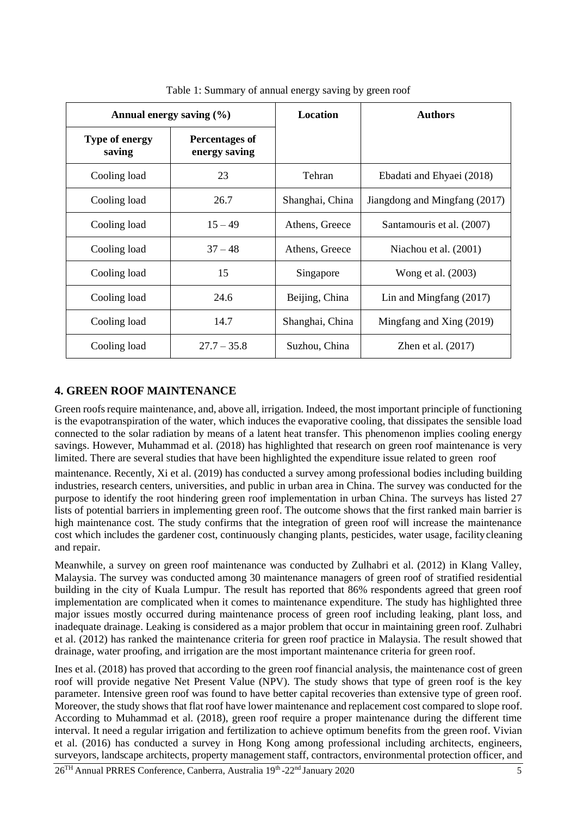| Annual energy saving $(\% )$    |                                        | <b>Location</b> | <b>Authors</b>                |
|---------------------------------|----------------------------------------|-----------------|-------------------------------|
| <b>Type of energy</b><br>saving | <b>Percentages of</b><br>energy saving |                 |                               |
| Cooling load                    | 23                                     | Tehran          | Ebadati and Ehyaei (2018)     |
| Cooling load                    | 26.7                                   | Shanghai, China | Jiangdong and Mingfang (2017) |
| Cooling load                    | $15 - 49$                              | Athens, Greece  | Santamouris et al. (2007)     |
| Cooling load                    | $37 - 48$                              | Athens, Greece  | Niachou et al. (2001)         |
| Cooling load                    | 15                                     | Singapore       | Wong et al. (2003)            |
| Cooling load                    | 24.6                                   | Beijing, China  | Lin and Mingfang $(2017)$     |
| Cooling load                    | 14.7                                   | Shanghai, China | Mingfang and Xing (2019)      |
| Cooling load                    | $27.7 - 35.8$                          | Suzhou, China   | Zhen et al. $(2017)$          |

Table 1: Summary of annual energy saving by green roof

## **4. GREEN ROOF MAINTENANCE**

Green roofs require maintenance, and, above all, irrigation. Indeed, the most important principle of functioning is the evapotranspiration of the water, which induces the evaporative cooling, that dissipates the sensible load connected to the solar radiation by means of a latent heat transfer. This phenomenon implies cooling energy savings. However, Muhammad et al. (2018) has highlighted that research on green roof maintenance is very limited. There are several studies that have been highlighted the expenditure issue related to green roof

maintenance. Recently, Xi et al. (2019) has conducted a survey among professional bodies including building industries, research centers, universities, and public in urban area in China. The survey was conducted for the purpose to identify the root hindering green roof implementation in urban China. The surveys has listed 27 lists of potential barriers in implementing green roof. The outcome shows that the first ranked main barrier is high maintenance cost. The study confirms that the integration of green roof will increase the maintenance cost which includes the gardener cost, continuously changing plants, pesticides, water usage, facilitycleaning and repair.

Meanwhile, a survey on green roof maintenance was conducted by Zulhabri et al. (2012) in Klang Valley, Malaysia. The survey was conducted among 30 maintenance managers of green roof of stratified residential building in the city of Kuala Lumpur. The result has reported that 86% respondents agreed that green roof implementation are complicated when it comes to maintenance expenditure. The study has highlighted three major issues mostly occurred during maintenance process of green roof including leaking, plant loss, and inadequate drainage. Leaking is considered as a major problem that occur in maintaining green roof. Zulhabri et al. (2012) has ranked the maintenance criteria for green roof practice in Malaysia. The result showed that drainage, water proofing, and irrigation are the most important maintenance criteria for green roof.

Ines et al. (2018) has proved that according to the green roof financial analysis, the maintenance cost of green roof will provide negative Net Present Value (NPV). The study shows that type of green roof is the key parameter. Intensive green roof was found to have better capital recoveries than extensive type of green roof. Moreover, the study shows that flat roof have lower maintenance and replacement cost compared to slope roof. According to Muhammad et al. (2018), green roof require a proper maintenance during the different time interval. It need a regular irrigation and fertilization to achieve optimum benefits from the green roof. Vivian et al. (2016) has conducted a survey in Hong Kong among professional including architects, engineers, surveyors, landscape architects, property management staff, contractors, environmental protection officer, and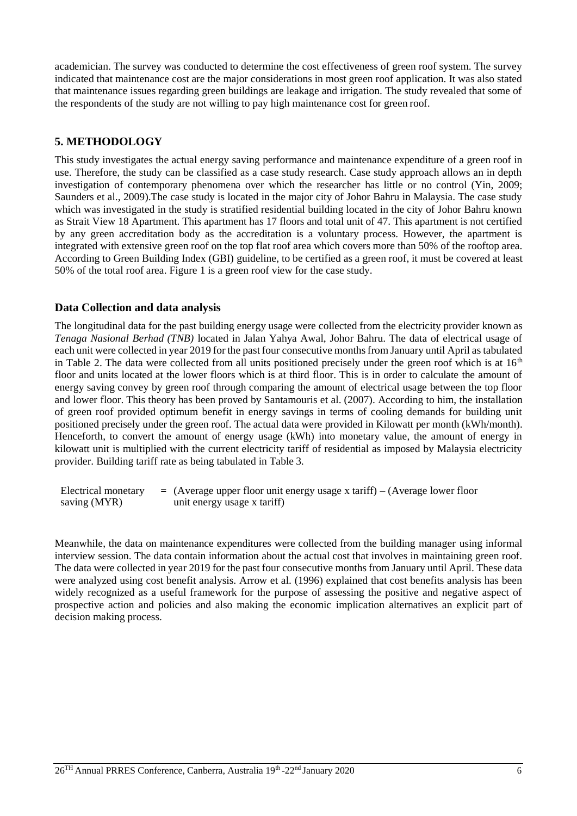academician. The survey was conducted to determine the cost effectiveness of green roof system. The survey indicated that maintenance cost are the major considerations in most green roof application. It was also stated that maintenance issues regarding green buildings are leakage and irrigation. The study revealed that some of the respondents of the study are not willing to pay high maintenance cost for green roof.

## **5. METHODOLOGY**

This study investigates the actual energy saving performance and maintenance expenditure of a green roof in use. Therefore, the study can be classified as a case study research. Case study approach allows an in depth investigation of contemporary phenomena over which the researcher has little or no control (Yin, 2009; Saunders et al., 2009).The case study is located in the major city of Johor Bahru in Malaysia. The case study which was investigated in the study is stratified residential building located in the city of Johor Bahru known as Strait View 18 Apartment. This apartment has 17 floors and total unit of 47. This apartment is not certified by any green accreditation body as the accreditation is a voluntary process. However, the apartment is integrated with extensive green roof on the top flat roof area which covers more than 50% of the rooftop area. According to Green Building Index (GBI) guideline, to be certified as a green roof, it must be covered at least 50% of the total roof area. Figure 1 is a green roof view for the case study.

## **Data Collection and data analysis**

The longitudinal data for the past building energy usage were collected from the electricity provider known as *Tenaga Nasional Berhad (TNB)* located in Jalan Yahya Awal, Johor Bahru. The data of electrical usage of each unit were collected in year 2019 for the past four consecutive monthsfrom January until April as tabulated in Table 2. The data were collected from all units positioned precisely under the green roof which is at  $16<sup>th</sup>$ floor and units located at the lower floors which is at third floor. This is in order to calculate the amount of energy saving convey by green roof through comparing the amount of electrical usage between the top floor and lower floor. This theory has been proved by Santamouris et al. (2007). According to him, the installation of green roof provided optimum benefit in energy savings in terms of cooling demands for building unit positioned precisely under the green roof. The actual data were provided in Kilowatt per month (kWh/month). Henceforth, to convert the amount of energy usage (kWh) into monetary value, the amount of energy in kilowatt unit is multiplied with the current electricity tariff of residential as imposed by Malaysia electricity provider. Building tariff rate as being tabulated in Table 3.

Electrical monetary saving (MYR)  $=$  (Average upper floor unit energy usage x tariff) – (Average lower floor unit energy usage x tariff)

Meanwhile, the data on maintenance expenditures were collected from the building manager using informal interview session. The data contain information about the actual cost that involves in maintaining green roof. The data were collected in year 2019 for the past four consecutive months from January until April. These data were analyzed using cost benefit analysis. Arrow et al. (1996) explained that cost benefits analysis has been widely recognized as a useful framework for the purpose of assessing the positive and negative aspect of prospective action and policies and also making the economic implication alternatives an explicit part of decision making process.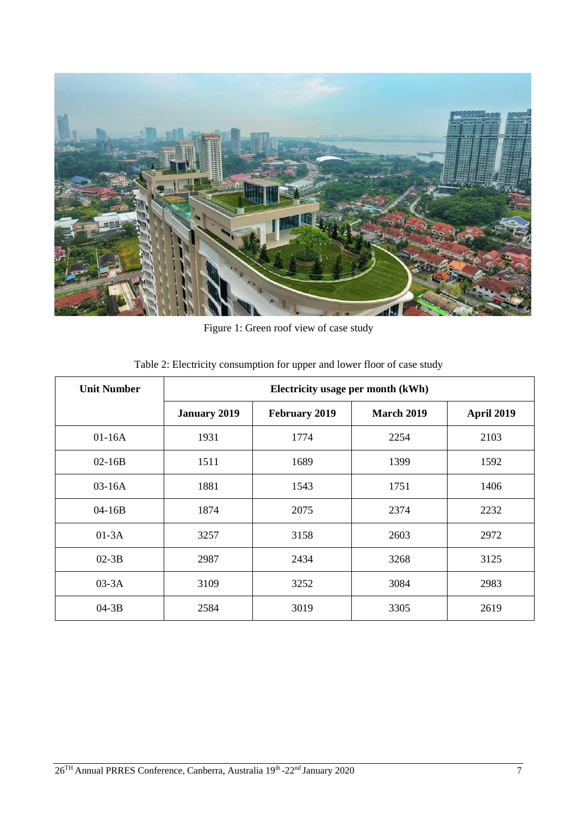

Figure 1: Green roof view of case study

| <b>Unit Number</b> | Electricity usage per month (kWh) |                      |            |            |
|--------------------|-----------------------------------|----------------------|------------|------------|
|                    | <b>January 2019</b>               | <b>February 2019</b> | March 2019 | April 2019 |
| $01-16A$           | 1931                              | 1774                 | 2254       | 2103       |
| $02-16B$           | 1511                              | 1689                 | 1399       | 1592       |
| $03-16A$           | 1881                              | 1543                 | 1751       | 1406       |
| $04 - 16B$         | 1874                              | 2075                 | 2374       | 2232       |
| $01-3A$            | 3257                              | 3158                 | 2603       | 2972       |
| $02-3B$            | 2987                              | 2434                 | 3268       | 3125       |
| $03-3A$            | 3109                              | 3252                 | 3084       | 2983       |
| $04-3B$            | 2584                              | 3019                 | 3305       | 2619       |

Table 2: Electricity consumption for upper and lower floor of case study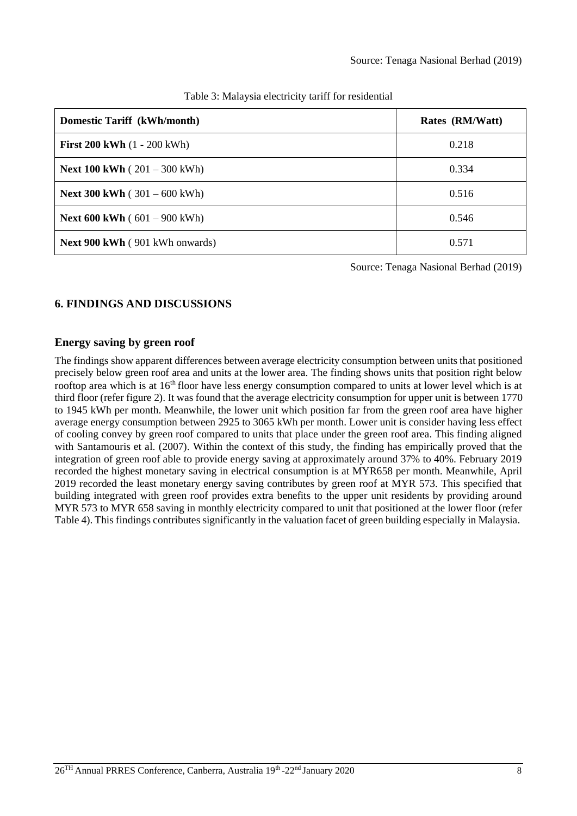| Domestic Tariff (kWh/month)                   | Rates (RM/Watt) |  |
|-----------------------------------------------|-----------------|--|
| <b>First 200 kWh</b> $(1 - 200$ kWh $)$       | 0.218           |  |
| <b>Next 100 kWh</b> $(201 - 300 \text{ kWh})$ | 0.334           |  |
| <b>Next 300 kWh</b> $(301 - 600 \text{ kWh})$ | 0.516           |  |
| <b>Next 600 kWh</b> $(601 - 900$ kWh)         | 0.546           |  |
| Next 900 kWh (901 kWh onwards)                | 0.571           |  |

|  |  |  | Table 3: Malaysia electricity tariff for residential |  |  |
|--|--|--|------------------------------------------------------|--|--|
|--|--|--|------------------------------------------------------|--|--|

Source: Tenaga Nasional Berhad (2019)

## **6. FINDINGS AND DISCUSSIONS**

### **Energy saving by green roof**

The findings show apparent differences between average electricity consumption between units that positioned precisely below green roof area and units at the lower area. The finding shows units that position right below rooftop area which is at 16<sup>th</sup> floor have less energy consumption compared to units at lower level which is at third floor (refer figure 2). It was found that the average electricity consumption for upper unit is between 1770 to 1945 kWh per month. Meanwhile, the lower unit which position far from the green roof area have higher average energy consumption between 2925 to 3065 kWh per month. Lower unit is consider having less effect of cooling convey by green roof compared to units that place under the green roof area. This finding aligned with Santamouris et al. (2007). Within the context of this study, the finding has empirically proved that the integration of green roof able to provide energy saving at approximately around 37% to 40%. February 2019 recorded the highest monetary saving in electrical consumption is at MYR658 per month. Meanwhile, April 2019 recorded the least monetary energy saving contributes by green roof at MYR 573. This specified that building integrated with green roof provides extra benefits to the upper unit residents by providing around MYR 573 to MYR 658 saving in monthly electricity compared to unit that positioned at the lower floor (refer Table 4). This findings contributes significantly in the valuation facet of green building especially in Malaysia.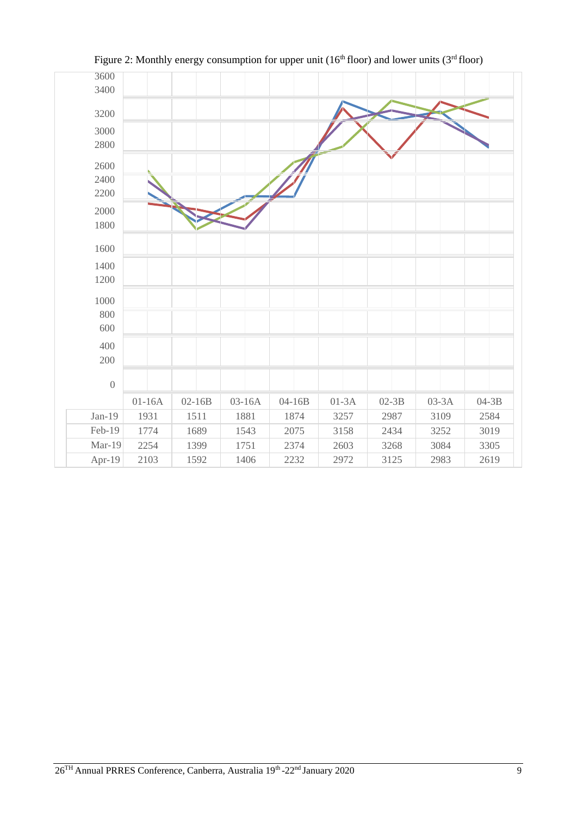

Figure 2: Monthly energy consumption for upper unit ( $16<sup>th</sup>$  floor) and lower units ( $3<sup>rd</sup>$  floor)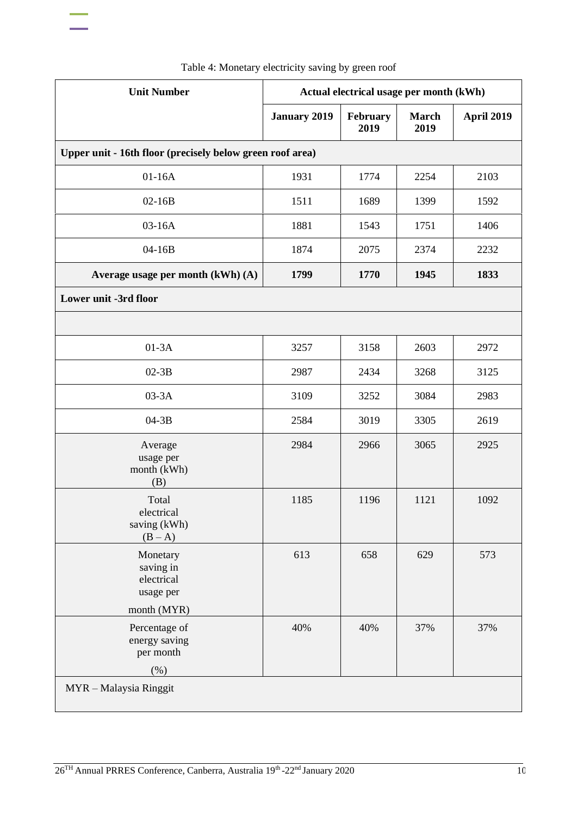| <b>Unit Number</b>                                                | Actual electrical usage per month (kWh) |                  |                      |                   |
|-------------------------------------------------------------------|-----------------------------------------|------------------|----------------------|-------------------|
|                                                                   | <b>January 2019</b>                     | February<br>2019 | <b>March</b><br>2019 | <b>April 2019</b> |
| Upper unit - 16th floor (precisely below green roof area)         |                                         |                  |                      |                   |
| $01-16A$                                                          | 1931                                    | 1774             | 2254                 | 2103              |
| $02-16B$                                                          | 1511                                    | 1689             | 1399                 | 1592              |
| 03-16A                                                            | 1881                                    | 1543             | 1751                 | 1406              |
| 04-16B                                                            | 1874                                    | 2075             | 2374                 | 2232              |
| Average usage per month (kWh) (A)                                 | 1799                                    | 1770             | 1945                 | 1833              |
| Lower unit -3rd floor                                             |                                         |                  |                      |                   |
|                                                                   |                                         |                  |                      |                   |
| $01-3A$                                                           | 3257                                    | 3158             | 2603                 | 2972              |
| $02-3B$                                                           | 2987                                    | 2434             | 3268                 | 3125              |
| $03-3A$                                                           | 3109                                    | 3252             | 3084                 | 2983              |
| $04-3B$                                                           | 2584                                    | 3019             | 3305                 | 2619              |
| Average<br>usage per<br>month (kWh)<br>(B)                        | 2984                                    | 2966             | 3065                 | 2925              |
| Total<br>electrical<br>saving (kWh)<br>$(B-A)$                    | 1185                                    | 1196             | 1121                 | 1092              |
| Monetary<br>saving in<br>electrical<br>usage per                  | 613                                     | 658              | 629                  | 573               |
| month (MYR)<br>Percentage of<br>energy saving<br>per month<br>(%) | 40%                                     | 40%              | 37%                  | 37%               |
| MYR - Malaysia Ringgit                                            |                                         |                  |                      |                   |

Table 4: Monetary electricity saving by green roof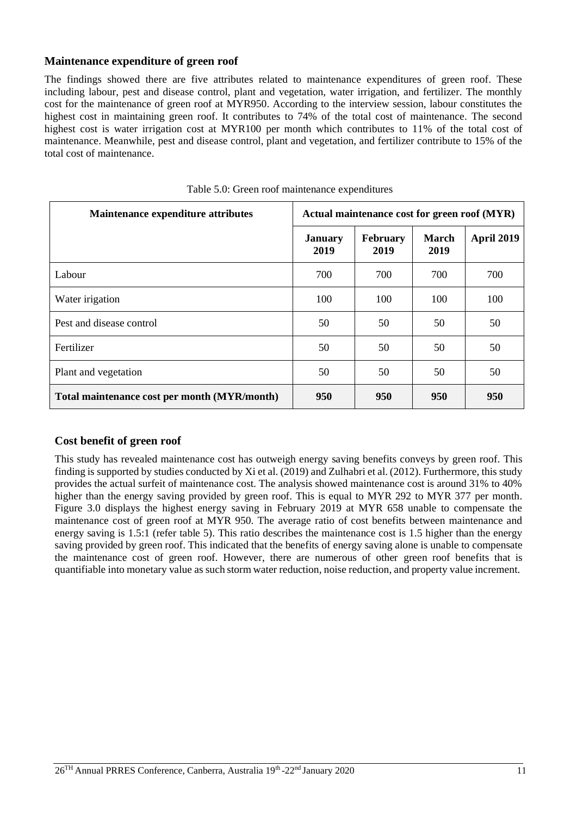### **Maintenance expenditure of green roof**

The findings showed there are five attributes related to maintenance expenditures of green roof. These including labour, pest and disease control, plant and vegetation, water irrigation, and fertilizer. The monthly cost for the maintenance of green roof at MYR950. According to the interview session, labour constitutes the highest cost in maintaining green roof. It contributes to 74% of the total cost of maintenance. The second highest cost is water irrigation cost at MYR100 per month which contributes to 11% of the total cost of maintenance. Meanwhile, pest and disease control, plant and vegetation, and fertilizer contribute to 15% of the total cost of maintenance.

| Maintenance expenditure attributes           | Actual maintenance cost for green roof (MYR) |                         |                      |                   |
|----------------------------------------------|----------------------------------------------|-------------------------|----------------------|-------------------|
|                                              | <b>January</b><br>2019                       | <b>February</b><br>2019 | <b>March</b><br>2019 | <b>April 2019</b> |
| Labour                                       | 700                                          | 700                     | 700                  | 700               |
| Water irigation                              | 100                                          | 100                     | 100                  | 100               |
| Pest and disease control                     | 50                                           | 50                      | 50                   | 50                |
| Fertilizer                                   | 50                                           | 50                      | 50                   | 50                |
| Plant and vegetation                         | 50                                           | 50                      | 50                   | 50                |
| Total maintenance cost per month (MYR/month) | 950                                          | 950                     | 950                  | 950               |

|  |  |  |  | Table 5.0: Green roof maintenance expenditures |
|--|--|--|--|------------------------------------------------|
|--|--|--|--|------------------------------------------------|

#### **Cost benefit of green roof**

This study has revealed maintenance cost has outweigh energy saving benefits conveys by green roof. This finding is supported by studies conducted by Xi et al. (2019) and Zulhabri et al. (2012). Furthermore, this study provides the actual surfeit of maintenance cost. The analysis showed maintenance cost is around 31% to 40% higher than the energy saving provided by green roof. This is equal to MYR 292 to MYR 377 per month. Figure 3.0 displays the highest energy saving in February 2019 at MYR 658 unable to compensate the maintenance cost of green roof at MYR 950. The average ratio of cost benefits between maintenance and energy saving is 1.5:1 (refer table 5). This ratio describes the maintenance cost is 1.5 higher than the energy saving provided by green roof. This indicated that the benefits of energy saving alone is unable to compensate the maintenance cost of green roof. However, there are numerous of other green roof benefits that is quantifiable into monetary value as such storm water reduction, noise reduction, and property value increment.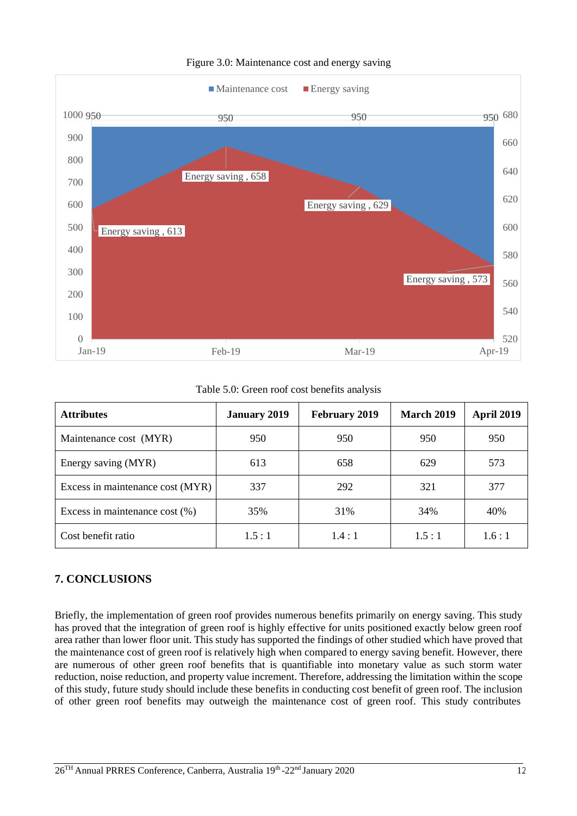

#### Figure 3.0: Maintenance cost and energy saving

Table 5.0: Green roof cost benefits analysis

| <b>Attributes</b>                 | <b>January 2019</b> | <b>February 2019</b> | March 2019 | <b>April 2019</b> |
|-----------------------------------|---------------------|----------------------|------------|-------------------|
| Maintenance cost (MYR)            | 950                 | 950                  | 950        | 950               |
| Energy saving (MYR)               | 613                 | 658                  | 629        | 573               |
| Excess in maintenance cost (MYR)  | 337                 | 292                  | 321        | 377               |
| Excess in maintenance cost $(\%)$ | 35%                 | 31%                  | 34%        | 40%               |
| Cost benefit ratio                | 1.5:1               | 1.4:1                | 1.5:1      | 1.6:1             |

## **7. CONCLUSIONS**

Briefly, the implementation of green roof provides numerous benefits primarily on energy saving. This study has proved that the integration of green roof is highly effective for units positioned exactly below green roof area rather than lower floor unit. This study has supported the findings of other studied which have proved that the maintenance cost of green roof is relatively high when compared to energy saving benefit. However, there are numerous of other green roof benefits that is quantifiable into monetary value as such storm water reduction, noise reduction, and property value increment. Therefore, addressing the limitation within the scope of this study, future study should include these benefits in conducting cost benefit of green roof. The inclusion of other green roof benefits may outweigh the maintenance cost of green roof. This study contributes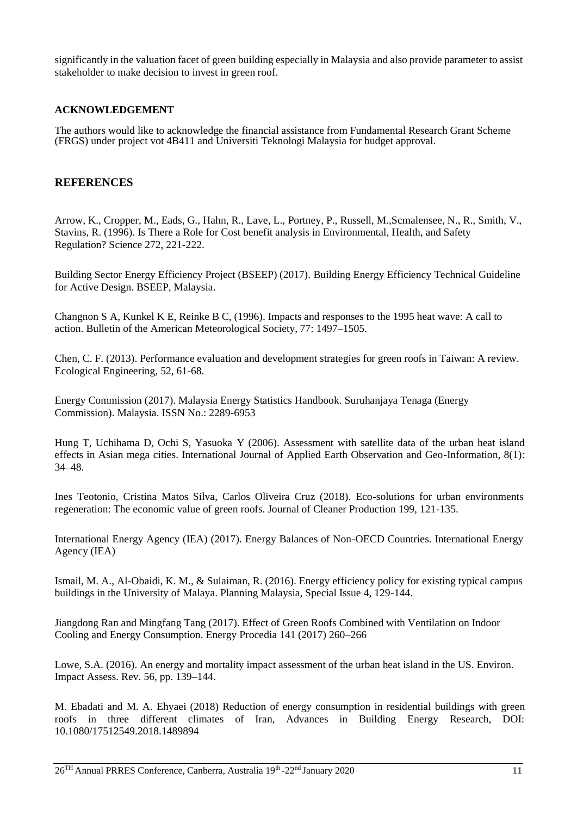significantly in the valuation facet of green building especially in Malaysia and also provide parameter to assist stakeholder to make decision to invest in green roof.

#### **ACKNOWLEDGEMENT**

The authors would like to acknowledge the financial assistance from Fundamental Research Grant Scheme (FRGS) under project vot 4B411 and Universiti Teknologi Malaysia for budget approval.

#### **REFERENCES**

Arrow, K., Cropper, M., Eads, G., Hahn, R., Lave, L., Portney, P., Russell, M.,Scmalensee, N., R., Smith, V., Stavins, R. (1996). Is There a Role for Cost benefit analysis in Environmental, Health, and Safety Regulation? Science 272, 221-222.

Building Sector Energy Efficiency Project (BSEEP) (2017). Building Energy Efficiency Technical Guideline for Active Design. BSEEP, Malaysia.

Changnon S A, Kunkel K E, Reinke B C, (1996). Impacts and responses to the 1995 heat wave: A call to action. Bulletin of the American Meteorological Society, 77: 1497–1505.

Chen, C. F. (2013). Performance evaluation and development strategies for green roofs in Taiwan: A review. Ecological Engineering, 52, 61-68.

Energy Commission (2017). Malaysia Energy Statistics Handbook. Suruhanjaya Tenaga (Energy Commission). Malaysia. ISSN No.: 2289-6953

Hung T, Uchihama D, Ochi S, Yasuoka Y (2006). Assessment with satellite data of the urban heat island effects in Asian mega cities. International Journal of Applied Earth Observation and Geo-Information, 8(1): 34–48.

Ines Teotonio, Cristina Matos Silva, Carlos Oliveira Cruz (2018). Eco-solutions for urban environments regeneration: The economic value of green roofs. Journal of Cleaner Production 199, 121-135.

International Energy Agency (IEA) (2017). Energy Balances of Non-OECD Countries. International Energy Agency (IEA)

Ismail, M. A., Al-Obaidi, K. M., & Sulaiman, R. (2016). Energy efficiency policy for existing typical campus buildings in the University of Malaya. Planning Malaysia, Special Issue 4, 129-144.

Jiangdong Ran and Mingfang Tang (2017). Effect of Green Roofs Combined with Ventilation on Indoor Cooling and Energy Consumption. Energy Procedia 141 (2017) 260–266

Lowe, S.A. (2016). An energy and mortality impact assessment of the urban heat island in the US. Environ. Impact Assess. Rev. 56, pp. 139–144.

M. Ebadati and M. A. Ehyaei (2018) Reduction of energy consumption in residential buildings with green roofs in three different climates of Iran, Advances in Building Energy Research, DOI: 10.1080/17512549.2018.1489894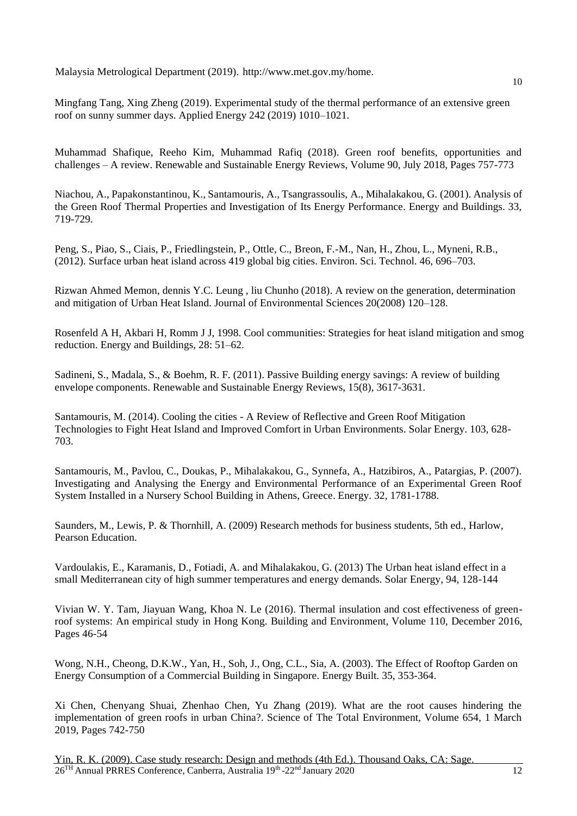Malaysia Metrological Department (2019). [http://www.met.gov.my/home.](http://www.met.gov.my/home)

Mingfang Tang, Xing Zheng (2019). Experimental study of the thermal performance of an extensive green roof on sunny summer days. Applied Energy 242 (2019) 1010–1021.

Muhammad Shafique, Reeho Kim, Muhammad Rafiq (2018). Green roof benefits, opportunities and challenges – A review. Renewable and Sustainable Energy Reviews, Volume 90, July 2018, Pages 757-773

Niachou, A., Papakonstantinou, K., Santamouris, A., Tsangrassoulis, A., Mihalakakou, G. (2001). Analysis of the Green Roof Thermal Properties and Investigation of Its Energy Performance. Energy and Buildings. 33, 719-729.

Peng, S., Piao, S., Ciais, P., Friedlingstein, P., Ottle, C., Breon, F.-M., Nan, H., Zhou, L., Myneni, R.B., (2012). Surface urban heat island across 419 global big cities. Environ. Sci. Technol. 46, 696–703.

Rizwan Ahmed Memon, dennis Y.C. Leung , liu Chunho (2018). A review on the generation, determination and mitigation of Urban Heat Island. Journal of Environmental Sciences 20(2008) 120–128.

Rosenfeld A H, Akbari H, Romm J J, 1998. Cool communities: Strategies for heat island mitigation and smog reduction. Energy and Buildings, 28: 51–62.

Sadineni, S., Madala, S., & Boehm, R. F. (2011). Passive Building energy savings: A review of building envelope components. Renewable and Sustainable Energy Reviews, 15(8), 3617-3631.

Santamouris, M. (2014). Cooling the cities - A Review of Reflective and Green Roof Mitigation Technologies to Fight Heat Island and Improved Comfort in Urban Environments. Solar Energy. 103, 628- 703.

Santamouris, M., Pavlou, C., Doukas, P., Mihalakakou, G., Synnefa, A., Hatzibiros, A., Patargias, P. (2007). Investigating and Analysing the Energy and Environmental Performance of an Experimental Green Roof System Installed in a Nursery School Building in Athens, Greece. Energy. 32, 1781-1788.

Saunders, M., Lewis, P. & Thornhill, A. (2009) Research methods for business students, 5th ed., Harlow, Pearson Education.

Vardoulakis, E., Karamanis, D., Fotiadi, A. and Mihalakakou, G. (2013) The Urban heat island effect in a small Mediterranean city of high summer temperatures and energy demands. Solar Energy, 94, 128-144

Vivian W. Y. Tam, Jiayuan Wang, Khoa N. Le (2016). Thermal insulation and cost effectiveness of greenroof systems: An empirical study in Hong Kong. Building and Environment, Volume 110, December 2016, Pages 46-54

Wong, N.H., Cheong, D.K.W., Yan, H., Soh, J., Ong, C.L., Sia, A. (2003). The Effect of Rooftop Garden on Energy Consumption of a Commercial Building in Singapore. Energy Built. 35, 353-364.

Xi Chen, Chenyang Shuai, Zhenhao Chen, Yu Zhang (2019). What are the root causes hindering the implementation of green roofs in urban China?. Science of The Total Environment, Volume 654, 1 March 2019, Pages 742-750